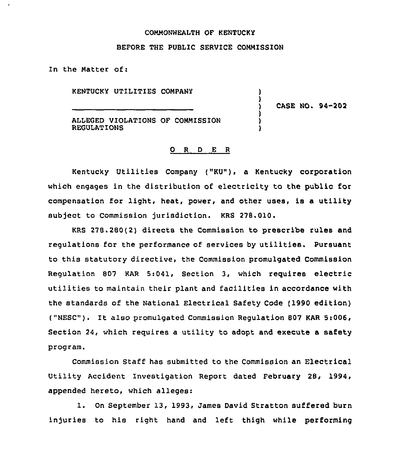### COMMONWEALTH OF KENTUCKY

#### BEFORE THE PUBLIC SERVICE COMMISSION

In the Matter of:

KENTUCKY UTILITIES COMPANY

) CASE NO. 94-202

) )

) ) )

ALLEGED VIOLATIONS OF COMMISSION REGULATIONS

#### 0 <sup>R</sup> <sup>D</sup> E <sup>R</sup>

Kentucky Utilities Company ("KU"), a Kentucky corporation which engages in the distribution of electricity to the public for compensation for light, heat, power, and other uses, is a utility subject to Commission jurisdiction. KRS 278.010.

KRS 278.280(2) directs the Commission to prescribe rules and regulations for the performance of services by utilities. Pursuant to this statutory directive, the Commission promulgated Commission Regulation 807 KAR 5:041, Section 3, which requires electric utilities to maintain their plant and facilities in accordance with the standards of the National Electrical Safety Code (1990 edition) ("NESC"). It also promulgated Commission Regulation 807 KAR 5:006, Section 24, which requires a utility to adopt and execute a safety program.

Commission Staff has submitted to the Commission an Electrical Utility Accident Investigation Report dated February 28, 1994, appended hereto, which alleges:

1. On September 13, 1993, James David Stratton suffered burn injuries to his right hand and left thigh while performing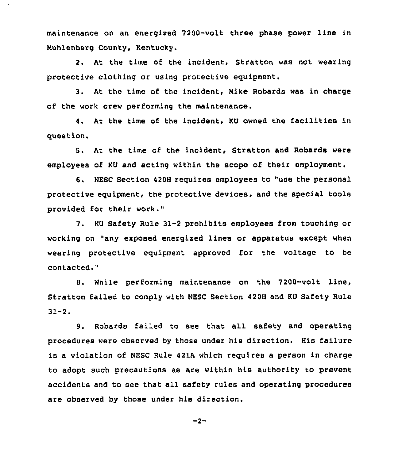maintenance on an energixed 7200-volt three phase power line in Nuhlenberg County, Kentucky.

 $\ddot{\phantom{a}}$ 

2. At the time of the incident, Stratton was not wearing protective clothing or using protective equipment.

3. At the time of the incident, Nike Robards was in charge of the work crew performing the maintenance.

4. At the time of the incident, KU owned the facilities in question.

5. At the time of the incident, Stratton and Robards were employees of KU and acting within the scope of their employment.

6. NESC Section 420H requires employees to "use the personal protective equipment, the protective devices, and the special tools provided for their work,"

7. KU Safety Rule 31-2 prohibits employees from touching or working on "any exposed energised lines or apparatus except when wearing protective equipment approved for the voltage to be contacted."

8. While performing maintenance on the 7200-volt line, Stratton failed to comply with NESC Section 420H and KU Safety Rule  $31 - 2.$ 

9. Robards failed to see that all safety and operating procedures were observed by those under his direction. His failure is a violation of NESC Rule 421A which requires a person in charge to adopt such precautions as are within his authority to prevent accidents and to see that all safety rules and operating procedures are observed by those under his direction.

 $-2-$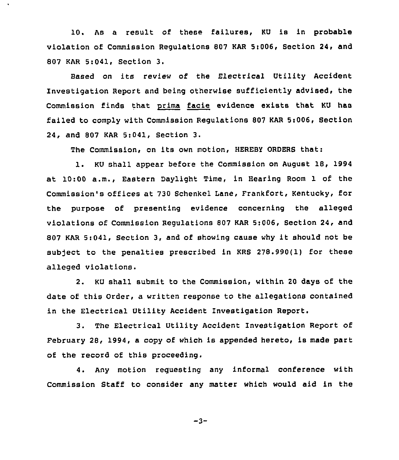10. As <sup>a</sup> result of these failures, KU is in probable violation of Commission Regulations 807 KAR St006, Section 24, and 807 KAR 5:041, Section 3.

 $\hat{\textbf{v}}$ 

Based on its review of the Electrical Utility Accident Investigation Report and being otherwise sufficiently advised, the Commission finds that prima facie evidence exists that KU has failed to comply with Commission Regulations 807 KAR 5t006, Section 24, and 807 KAR 5:041, Section 3.

The Commission, on its own motion, HEREBY ORDERS that:

l. KU shall appear before the Commission on August 18, <sup>1994</sup> at 10:00 a.m., Eastern Daylight Time, in Hearing Room 1 of the Commission's offices at 730 Schenkel Lane, Frankfort, Kentucky, for the purpose of presenting evidence concerning the alleged violations of Commission Regulations 807 KAR 5:006, Section 24, and <sup>807</sup> KAR 5:041, Section 3, and of showing cause why it should not be subject to the penalties prescribed in KRS 278.990(1) for these alleged violations.

2. KU shall submit to the Commission, within 20 days of the date of this Order, a written response to the allegations contained in the Electrical Utility Accident Investigation Report.

3. The Electrical Utility Accident Investigation Report of February 28, 1994, a copy of which is appended hereto, is made part of the record of this proceeding.

4. Any motion requesting any informal conference with Commission Staff to consider any matter which would aid in the

 $-3-$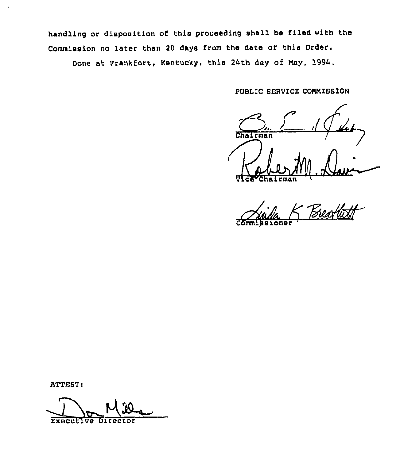handling or disposition of this proceading shall be filed with ths Commission no later than <sup>20</sup> days from the date of this Order. Done at Frankfort, Kentucky, this 24th day of May, 1994.

PUBLIC SERVICE COMMISSION

 $\sum_{\text{max}}$ Chairman Vice Chairma

issioner

ATTEST:

Executive Director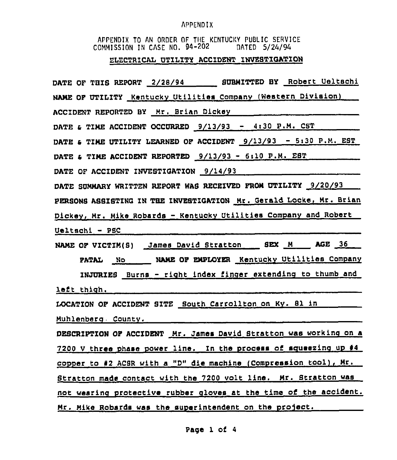# APPENDIX

APPENDIX TO AN ORDER OF THE KENTUCKY PUBLIC SERVICE<br>COMMISSION IN CASE NO. 94-202 DATED 5/24/94

# ELECTRICAL UTILITY ACCIDENT INVESTIGATION

| DATE OF THIS REPORT 2/28/94 SUBMITTED BY Robert Ueltschi           |
|--------------------------------------------------------------------|
| NAME OF UTILITY Kentucky Utilities Company (Western Division)      |
| ACCIDENT REPORTED BY Mr. Brian Dickey                              |
| DATE & TIME ACCIDENT OCCURRED $9/13/93$ - 4:30 P.M. CST            |
| DATE & TIME UTILITY LEARNED OF ACCIDENT $9/13/93 - 5:30$ P.M. EST  |
| DATE & TIME ACCIDENT REPORTED $9/13/93 - 6110 P.M. EBT$            |
| DATE OF ACCIDENT INVESTIGATION 9/14/93                             |
| DATE SUMMARY WRITTEN REPORT WAS RECEIVED FROM UTILITY 9/20/93      |
| PERSONS ASSISTING IN THE INVESTIGATION Mr. Gerald Locke, Mr. Brian |
| Dickey, Mr. Mike Robards - Kentucky Utilities Company and Robert   |
| $Ueltsch1 - PSC$                                                   |
| NAME OF VICTIM(S) James David Stratton BEX M AGE 36                |
| PATAL No NAME OF EMPLOYER Kentucky Utilities Company               |
| INJURIES Burns - right index finger extending to thumb and         |
| left thigh.                                                        |
| LOCATION OF ACCIDENT SITE South Carrollton on Ky. 81 in            |
| Muhlenberg County.                                                 |
| DESCRIPTION OF ACCIDENT Mr. James David Stratton was working on a  |
| 7200 V three phase power line. In the process of squeezing up #4   |
| copper to #2 ACSR with a "D" die machine (Compression tool), Mr.   |
|                                                                    |
| Stratton made contact with the 7200 volt line. Mr. Stratton was    |
| not wearing protective rubber gloves at the time of the accident.  |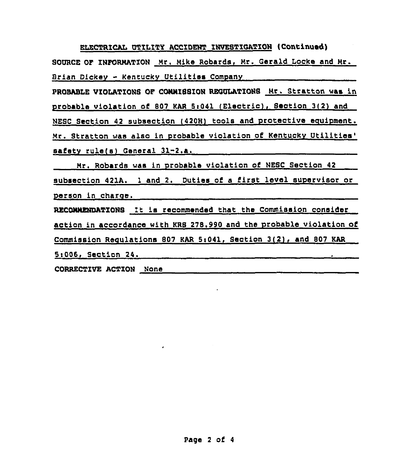ELECTRICAL UTILITY ACCIDENT INVESTIGATION (Continued) SOURCE OF INFORMATION Mr. Mike Robards, Mr. Gerald Locke and Mr. Brian Dickev - Kentuckv Utilities Companv PROBABLE VIOLATIONS OF CONNISSION REGULATIONS Mr. Stratton was in probable violation of 807 KAR 5:041 (Electric). Section 3(2) and NESC Section 42 subsection (420H) tools and protective equipment. Mr. Stratton was also in probable violation of Kentucky Utilities' safety rule(s) General 31-2.a. Mr. Robards was in probable violation of NESC Section 42 subsection 421A. <sup>1</sup> and 2. Duties of <sup>a</sup> first level supervisor or person in charge. RECDNNENDATIONS It is recommended that the Commission consider action in accordance with KRS 278.990 and the probable violation of Commission Requlations 807 KAR 5:041, Section 3(2), and 807 KAR 5c006< Section 24. CORRECTIVE ACTION None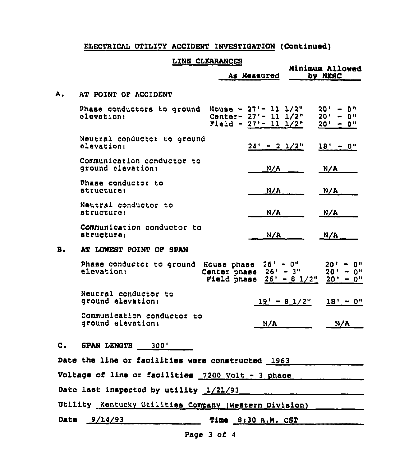# ELECTRICAL UTILITY ACCIDENT INVESTIGATION (Continued)

# LINE CLEARANCES

|    |                                                                                                | As Measured                | Minimum Allowed<br>by NESC                                        |
|----|------------------------------------------------------------------------------------------------|----------------------------|-------------------------------------------------------------------|
| А. | AT POINT OF ACCIDENT                                                                           |                            |                                                                   |
|    | Phase conductors to ground House - $27'$ - 11 $1/2''$<br>elevation: Center- $27'$ - 11 $1/2''$ | Field - $27'$ - 11 $1/2''$ | $20' - 0''$<br>$20' - 0''$<br>$20' - 0''$                         |
|    | Neutral conductor to ground<br>elevation:                                                      |                            | $24' - 2$ $1/2"$<br>$18' - 0''$                                   |
|    | Communication conductor to<br>ground elevation:                                                | N/A                        | N/A                                                               |
|    | Phase conductor to<br><i>structurei</i>                                                        | N/A                        | N/A                                                               |
|    | Neutral conductor to<br>structure:                                                             | N/A                        | N/A                                                               |
|    | Communication conductor to<br><i>atructure:</i>                                                | N/A                        | N/A                                                               |
| в. | AT LOWEST POINT OF SPAN                                                                        |                            |                                                                   |
|    | Phase conductor to ground House phase 26' - 0"<br>elevation:                                   | Center phase $26' - 3''$   | $20' - 0''$<br>$20' - 0''$<br>Field phase $26' - 81/2''$ 20' - 0" |
|    | Neutral conductor to<br>ground elevation:                                                      |                            | $19' - 8$ $1/2''$<br>$18' - 0''$                                  |
|    | Communication conductor to<br>ground elevation:                                                | N/A                        | N/A                                                               |
| С. | <b>SPAN LENGTH</b><br>300'                                                                     |                            |                                                                   |
|    | Date the line or facilities were constructed 1963                                              |                            |                                                                   |
|    | Voltage of line or facilities 7200 Volt - 3 phase                                              |                            |                                                                   |
|    | Date last inspected by utility 1/21/93                                                         |                            |                                                                   |
|    | Utility Kentucky Utilities Company (Western Division)                                          |                            |                                                                   |
|    | Date $9/14/93$                                                                                 | Time 8:30 A.M. CST         |                                                                   |
|    |                                                                                                | Page 3 of 4                |                                                                   |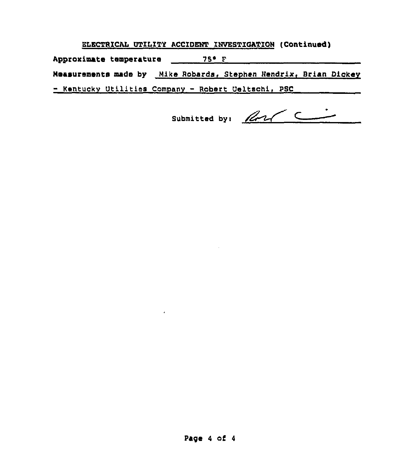ELECTRICAL UTILITY ACCIDENT INVESTIGATION (Continued)

Approximate temperature \_\_\_\_\_\_\_ 75° F\_\_\_\_\_\_\_\_\_\_

Measurements made by Mike Robards, Stephen Hendrix, Brian Dickey

- Kentucky Utilities Company - Robert Ueltschi, PSC

 $\mathbf{r}$ 

Submitted by: Road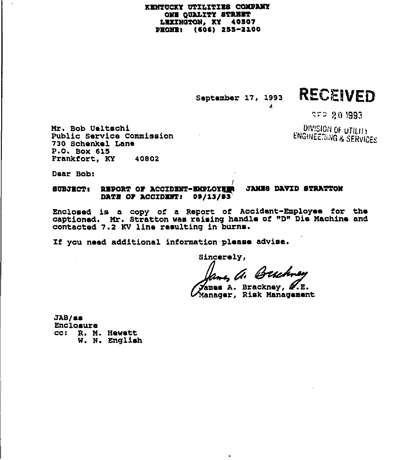## KENTUCKY UTILITIES COMPANY ONE OUALITY STREET LEXINGTON, KY 40507 PHONE: (606) 255-2100

September 17, 1993

 $\boldsymbol{A}$ 

# RECEIVED

**SFP 201993** 

DIVISION OF UTILITY **ENGINEERING & SERVICES** 

Mr. Bob Ueltschi Public Service Commission 730 Schenkel Lane P.O. Box 615 Frankfort, KY 40802

Daar Bob:

#### SUBJECT: REPORT OF ACCIDENT-ENPLOYEER JAMES DAVID STRATTON DATE OF ACCIDENT: 09/13/83

Enclosed is a copy of a Report of Accident-Employee for the captioned. Mr. Stratton was raising handle of "D" Die Machine and contacted 7.2 KV line resulting in burns.

If you need additional information please advise.

Sincerely,

mes A. Buchney

ames A. Brackney, M.E. Manager, Risk Management

 $JAB/\sigma\sigma$ Enclosure CC: R. M. Hewett W. N. English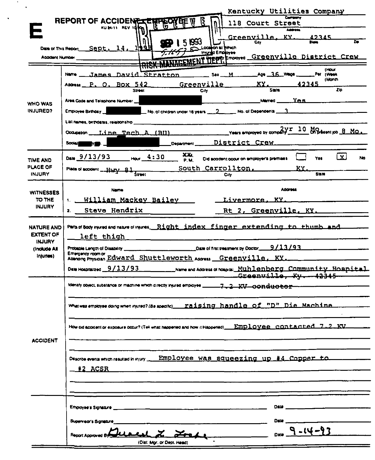|                               | Kentucky Utilities Company                                                                                                    |
|-------------------------------|-------------------------------------------------------------------------------------------------------------------------------|
|                               | REPORT OF ACCIDENTE<br><u>बन्कुर्प्यु वृम् भू</u><br>118 Court Street<br>KUM-11 REV 1850<br>Address                           |
|                               | Greenville.<br>.KY<br><u> 42345</u>                                                                                           |
| Date of This Report           | 15833<br>۱Qb<br>$\overline{14}$ .<br>ion at Which<br>Sept.                                                                    |
| <b>Acadent Number</b>         | RISK MANAGEMENT DEPT Employed Greenville District Crew                                                                        |
|                               |                                                                                                                               |
|                               | <b>I Hour</b><br>Age 36 West<br>James David Stratton<br>Per (Week<br>Sex M.<br><b>Name</b>                                    |
|                               | (Month)<br>Greenville<br>KY.<br>42345<br>Address P. O. BOX 542                                                                |
|                               | Zio<br>State<br>Street<br>CIŅ                                                                                                 |
| <b>WHO WAS</b>                | Maried YAS<br>Area Code and Telephone Number                                                                                  |
| <b>INJURED?</b>               | $\_$ No. of children under 16 years $\_\_2\_\_$ No. of Dependents $\_\_3\_$<br><b>Employee Birthday</b>                       |
|                               | List names, birthdates, relationship                                                                                          |
|                               | Years employed by company $\frac{2\gamma r}{r}$ 10 M Dressent job 8 MO.<br>Occupation ___ Line Tech A (BU)                    |
|                               | District Crew<br><b>SOCIAL</b><br>Department                                                                                  |
|                               | XXA.<br>$\overline{\mathbf{x}}$<br>Date 9/13/93 Hour 4:30<br>Yes.<br>٨ю<br>Did accident occur on employer's premises.<br>P.M. |
| TIME AND<br>PLACE OF          | South Carrollton.<br>KY.                                                                                                      |
| <b>INJURY</b>                 | Place of accident __Hury 81<br><b>State</b><br>C.M                                                                            |
|                               | Address<br>Name                                                                                                               |
| <b>WITNESSES</b><br>TO THE    | William Mackey Bailey<br>Livermore, KY.<br>1.                                                                                 |
| <b>INJURY</b>                 |                                                                                                                               |
|                               | Steve Hendrix<br>Rt 2, Greenville. KY.<br>2.                                                                                  |
| <b>NATURE AND</b>             | Para of Sooy rured and native of invine__Right_index_finger_extending_to_thumb_and____                                        |
| <b>EXTENT OF</b>              | left thigh                                                                                                                    |
| <b>INJURY</b><br>(Include All | Probable Length of Disability __                                                                                              |
| injuries)                     | Emergency room or<br>Amang Physian Edward Shuttleworth Assess Greenville, KY.                                                 |
|                               |                                                                                                                               |
|                               | Greenville, Ku 42345                                                                                                          |
|                               | <del>7.2 XV conductor</del>                                                                                                   |
|                               |                                                                                                                               |
|                               |                                                                                                                               |
|                               |                                                                                                                               |
|                               | How did accident or exposure occur? (Tell what happened and how it Happened)__EMD_LOVGG_COREACE@_7_2_KV                       |
| <b>ACCIDENT</b>               |                                                                                                                               |
|                               |                                                                                                                               |
|                               | Describe events which resulted in minry __ Employee was squeezing up #4 Copper to                                             |
|                               |                                                                                                                               |
|                               |                                                                                                                               |
|                               |                                                                                                                               |
|                               |                                                                                                                               |
|                               |                                                                                                                               |
|                               | Date ___<br>Supervacina Signature                                                                                             |
|                               | $9 - 14 - 9$                                                                                                                  |
|                               | Report Approved B/ Cleaned L. L. Fred<br>(Dist. Mor. or Dept. Head)                                                           |
|                               |                                                                                                                               |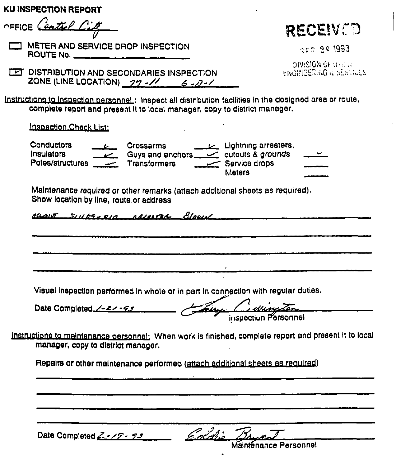|  |  |  | KU INSPECTION REPORT |
|--|--|--|----------------------|
|--|--|--|----------------------|

OFFICE Centrel Cit

METER AND SERVICE DROP INSPECTION **ROUTE No.** 4. 2004 12:00:00 POUTE NO.

RECEIVED

 $25.25.1993$ 

**SIVISION OF LEELL** HNORFERING & SERVICES

**TET DISTRIBUTION AND SECONDARIES INSPECTION** ZONE (LINE LOCATION)  $27 - 11$  6 - 0 - 1

Instructions to inspection personnel: Inspect all distribution facilities in the designed area or route, complete report and present it to local manager, copy to district manager.

**Inspection Check List:** 

 $L$  Lightning arresters. Conductors **Crossarms** Insulators Guys and anchors  $\sim$  cutouts & grounds Poles/structures Transformers Service drops **Matars** 

Maintenance required or other remarks (attach additional sheets as required). Show location by line, route or address

account suppose or agreeme Blows

Visual inspection performed in whole or in part in connection with regular duties.

Luce Certies Date Completed /-2/-99 inspection Personnel

Instructions to maintenance personnel: When work is finished, complete report and present it to local manager, copy to district manager.

Repairs or other maintenance performed (attach additional sheets as required)

Date Completed  $Z - \sqrt{Z} - \sqrt{Z}$ 

Coldie

Maintenance Personnel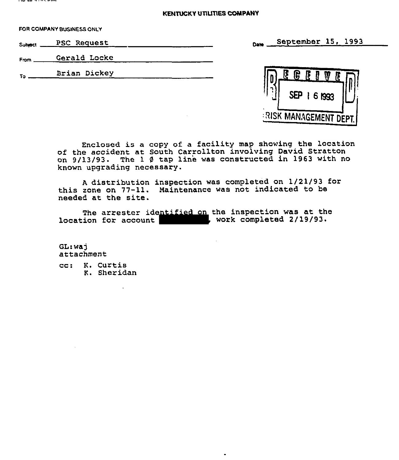### **KENTUCKY UTILITIES COMPANY**

FOR COMPANY BUSINESS ONlY

soaooI PSC Request September 15, 1993

From Gerald Locke



Enclosed is a copy of a facility map showing the location of the accident at South Carrollton involving David Stratton on  $9/13/93$ . The 1  $\beta$  tap line was constructed in 1963 with no known upgrading necessary.

<sup>A</sup> distribution inspection was completed on 1/21/93 for this zone on 77-11. Maintenance was not indicated to he needed at the site.

The arrester identified on the inspection was at the location for account , work completed 2/19/93

GL: wai attachment

cc: K. Curtis K. Sheridan